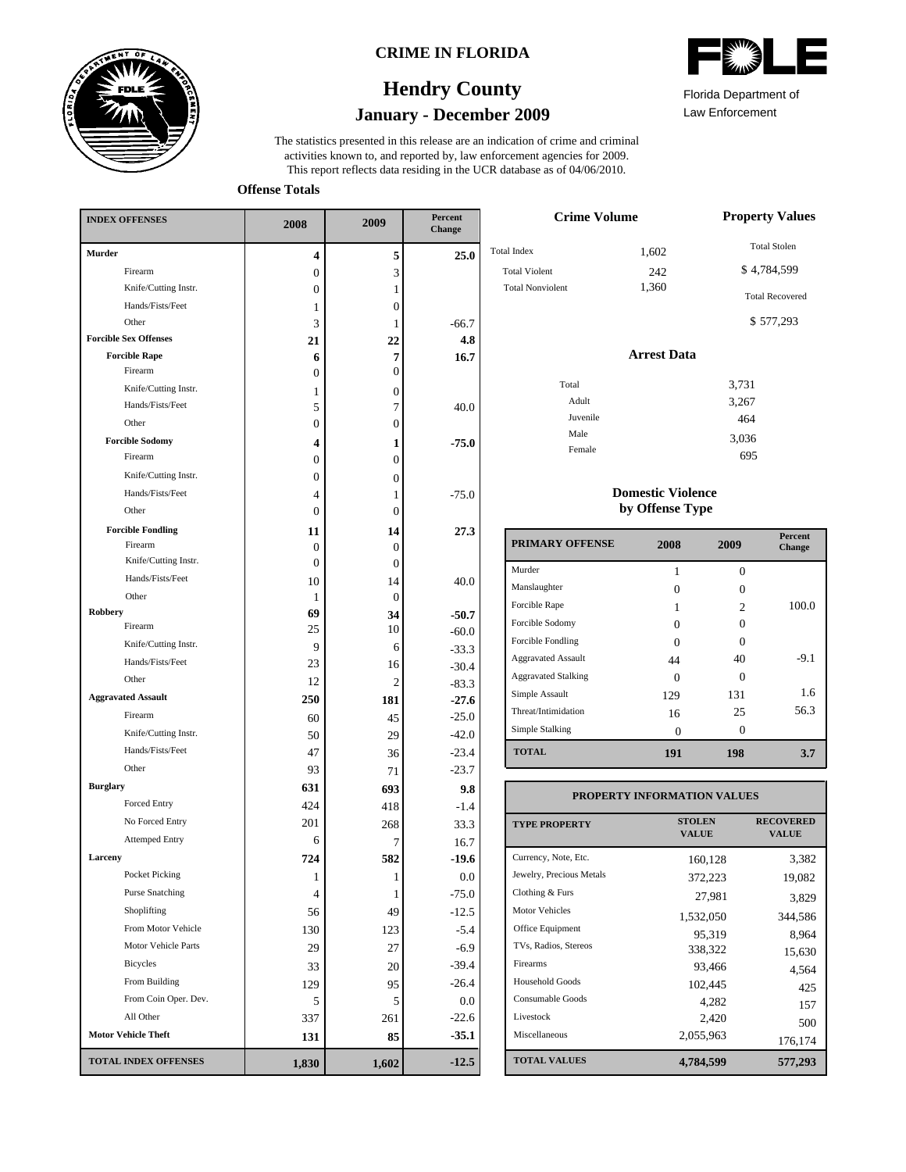

#### **CRIME IN FLORIDA**

## **January - December 2009 Hendry County**

This report reflects data residing in the UCR database as of 04/06/2010. activities known to, and reported by, law enforcement agencies for 2009. The statistics presented in this release are an indication of crime and criminal

**Offense Totals**

| <b>INDEX OFFENSES</b>        | 2008             | 2009           | Percent<br>Change |  |
|------------------------------|------------------|----------------|-------------------|--|
| <b>Murder</b>                | 4                | 5              | 25.0              |  |
| Firearm                      | $\boldsymbol{0}$ | 3              |                   |  |
| Knife/Cutting Instr.         | 0                | 1              |                   |  |
| Hands/Fists/Feet             | 1                | 0              |                   |  |
| Other                        | 3                | 1              | $-66.7$           |  |
| <b>Forcible Sex Offenses</b> | 21               | 22             | 4.8               |  |
| <b>Forcible Rape</b>         | 6                | 7              | 16.7              |  |
| Firearm                      | $\Omega$         | $\overline{0}$ |                   |  |
| Knife/Cutting Instr.         | 1                | 0              |                   |  |
| Hands/Fists/Feet             | 5                | 7              | 40.0              |  |
| Other                        | $\theta$         | $\overline{0}$ |                   |  |
| <b>Forcible Sodomy</b>       | 4                | 1              | $-75.0$           |  |
| Firearm                      | $\theta$         | $\overline{0}$ |                   |  |
| Knife/Cutting Instr.         | $\theta$         | 0              |                   |  |
| Hands/Fists/Feet             | 4                | 1              | $-75.0$           |  |
| Other                        | 0                | 0              |                   |  |
| <b>Forcible Fondling</b>     | 11               | 14             | 27.3              |  |
| Firearm                      | 0                | 0              |                   |  |
| Knife/Cutting Instr.         | 0                | 0              |                   |  |
| Hands/Fists/Feet             | 10               | 14             | 40.0              |  |
| Other                        | 1                | 0              |                   |  |
| Robbery                      | 69               | 34             | $-50.7$           |  |
| Firearm                      | 25               | 10             | $-60.0$           |  |
| Knife/Cutting Instr.         | 9                | 6              | $-33.3$           |  |
| Hands/Fists/Feet             | 23               | 16             | $-30.4$           |  |
| Other                        | 12               | 2              | $-83.3$           |  |
| <b>Aggravated Assault</b>    | 250              | 181            | $-27.6$           |  |
| Firearm                      | 60               | 45             | $-25.0$           |  |
| Knife/Cutting Instr.         | 50               | 29             | $-42.0$           |  |
| Hands/Fists/Feet             | 47               | 36             | $-23.4$           |  |
| Other                        | 93               | 71             | $-23.7$           |  |
| <b>Burglary</b>              | 631              | 693            | 9.8               |  |
| <b>Forced Entry</b>          | 424              | 418            | $-1.4$            |  |
| No Forced Entry              | 201              | 268            | 33.3              |  |
| <b>Attemped Entry</b>        | 6                | 7              | 16.7              |  |
| Larceny                      | 724              | 582            | -19.6             |  |
| Pocket Picking               | 1                | 1              | $0.0\,$           |  |
| <b>Purse Snatching</b>       | 4                | 1              | $-75.0$           |  |
| Shoplifting                  | 56               | 49             | $-12.5$           |  |
| From Motor Vehicle           | 130              | 123            | $-5.4$            |  |
| Motor Vehicle Parts          | 29               | 27             | $-6.9$            |  |
| Bicycles                     |                  |                |                   |  |
| From Building                | 33               | 20             | $-39.4$           |  |
| From Coin Oper. Dev.         | 129              | 95             | $-26.4$           |  |
| All Other                    | 5                | 5              | 0.0               |  |
|                              | 337              | 261            | $-22.6$           |  |
| <b>Motor Vehicle Theft</b>   | 131              | 85             | $-35.1$           |  |
| <b>TOTAL INDEX OFFENSES</b>  | 1,830            | 1,602          | $-12.5$           |  |

| Florida Department of |  |
|-----------------------|--|

Law Enforcement

695

| <b>Crime Volume</b>                                                   | <b>Property Values</b> |                                                                           |
|-----------------------------------------------------------------------|------------------------|---------------------------------------------------------------------------|
| <b>Total Index</b><br><b>Total Violent</b><br><b>Total Nonviolent</b> | 1,602<br>242<br>1,360  | <b>Total Stolen</b><br>\$4,784,599<br><b>Total Recovered</b><br>\$577,293 |
|                                                                       | <b>Arrest Data</b>     |                                                                           |
| Total<br>Adult<br>Juvenile<br>Male                                    |                        | 3,731<br>3,267<br>464<br>3,036                                            |
| Female                                                                |                        | $\sim$ $\sim$ $\sim$                                                      |

#### **Domestic Violence by Offense Type**

| <b>PRIMARY OFFENSE</b>     | 2008     | 2009                        | <b>Percent</b><br><b>Change</b> |
|----------------------------|----------|-----------------------------|---------------------------------|
| Murder                     |          | $\Omega$                    |                                 |
| Manslaughter               | 0        | Ω                           |                                 |
| Forcible Rape              |          | $\mathcal{D}_{\mathcal{L}}$ | 100.0                           |
| Forcible Sodomy            | 0        | ∩                           |                                 |
| Forcible Fondling          | $\Omega$ |                             |                                 |
| <b>Aggravated Assault</b>  | 44       | 40                          | $-9.1$                          |
| <b>Aggravated Stalking</b> | 0        |                             |                                 |
| Simple Assault             | 129      | 131                         | 1.6                             |
| Threat/Intimidation        | 16       | 25                          | 56.3                            |
| Simple Stalking            | 0        | 0                           |                                 |
| <b>TOTAL</b>               | 191      | 198                         | 3.7                             |

### **PROPERTY INFORMATION VALUES**

| <b>TYPE PROPERTY</b>     | <b>STOLEN</b><br><b>VALUE</b> | <b>RECOVERED</b><br><b>VALUE</b> |
|--------------------------|-------------------------------|----------------------------------|
| Currency, Note, Etc.     | 160,128                       | 3,382                            |
| Jewelry, Precious Metals | 372,223                       | 19,082                           |
| Clothing & Furs          | 27.981                        | 3,829                            |
| Motor Vehicles           | 1,532,050                     | 344,586                          |
| Office Equipment         | 95.319                        | 8,964                            |
| TVs, Radios, Stereos     | 338.322                       | 15,630                           |
| Firearms                 | 93,466                        | 4,564                            |
| Household Goods          | 102,445                       | 425                              |
| Consumable Goods         | 4.282                         | 157                              |
| Livestock                | 2,420                         | 500                              |
| Miscellaneous            | 2,055,963                     | 176,174                          |
| <b>TOTAL VALUES</b>      | 4,784,599                     | 577,293                          |